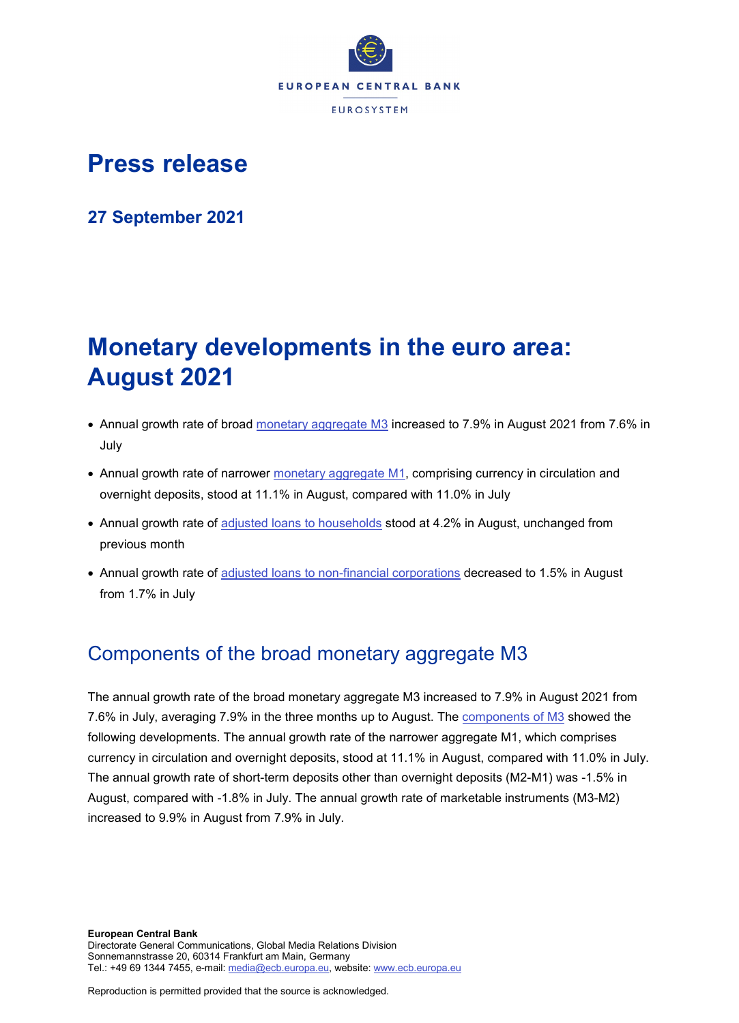

# **Press release**

**27 September 2021**

# **Monetary developments in the euro area: August 2021**

- Annual growth rate of broad [monetary aggregate M3](http://sdw.ecb.europa.eu/browseSelection.do?type=series&q=BSI.M.U2.Y.V.M30.X.I.U2.2300.Z01.A&node=SEARCHRESULTS) increased to 7.9% in August 2021 from 7.6% in July
- Annual growth rate of narrower [monetary aggregate M1,](http://sdw.ecb.europa.eu/browseSelection.do?type=series&q=BSI.M.U2.Y.V.M10.X.I.U2.2300.Z01.A&node=SEARCHRESULTS) comprising currency in circulation and overnight deposits, stood at 11.1% in August, compared with 11.0% in July
- Annual growth rate of [adjusted loans to households](http://sdw.ecb.europa.eu/browseSelection.do?type=series&q=BSI.M.U2.Y.U.A20T.A.I.U2.2250.Z01.A&node=SEARCHRESULTS) stood at 4.2% in August, unchanged from previous month
- Annual growth rate of [adjusted loans to non-financial corporations](http://sdw.ecb.europa.eu/browseSelection.do?type=series&q=BSI.M.U2.Y.U.A20T.A.I.U2.2240.Z01.A&node=SEARCHRESULTS) decreased to 1.5% in August from 1.7% in July

## Components of the broad monetary aggregate M3

The annual growth rate of the broad monetary aggregate M3 increased to 7.9% in August 2021 from 7.6% in July, averaging 7.9% in the three months up to August. The [components of M3](http://sdw.ecb.europa.eu/browseSelection.do?type=series&q=BSI.M.U2.Y.V.M30.X.I.U2.2300.Z01.A+BSI.M.U2.Y.V.M10.X.I.U2.2300.Z01.A+BSI.M.U2.Y.V.L2A.M.I.U2.2300.Z01.A+BSI.M.U2.Y.V.LT3.L.I.U2.2300.Z01.A&node=SEARCHRESULTS) showed the following developments. The annual growth rate of the narrower aggregate M1, which comprises currency in circulation and overnight deposits, stood at 11.1% in August, compared with 11.0% in July. The annual growth rate of short-term deposits other than overnight deposits (M2-M1) was -1.5% in August, compared with -1.8% in July. The annual growth rate of marketable instruments (M3-M2) increased to 9.9% in August from 7.9% in July.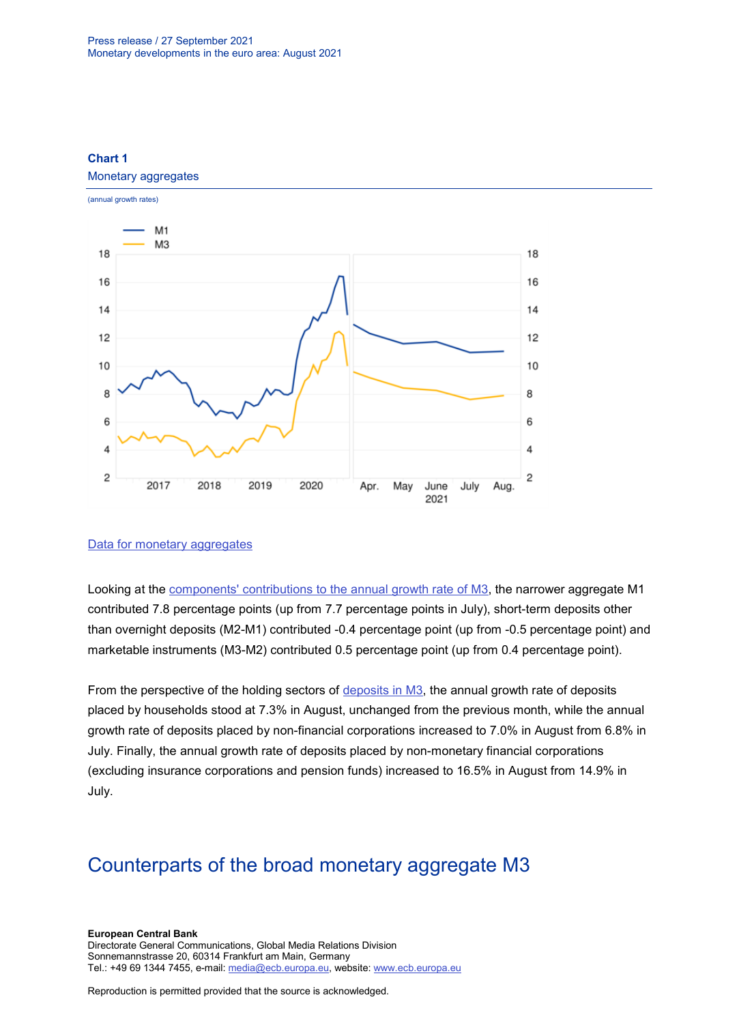## **Chart 1**

#### Monetary aggregates



### [Data for monetary aggregates](http://sdw.ecb.europa.eu/browseSelection.do?type=series&q=BSI.M.U2.Y.V.M30.X.I.U2.2300.Z01.A+BSI.M.U2.Y.V.M10.X.I.U2.2300.Z01.A&node=SEARCHRESULTS)

Looking at the [components' contributions to the annual growth rate of M3,](http://sdw.ecb.europa.eu/browseSelection.do?type=series&q=BSI.M.U2.Y.V.M10.X.Q.U2.2300.Z01.F+BSI.M.U2.Y.V.L2A.M.Q.U2.2300.Z01.F+BSI.M.U2.Y.V.LT3.L.Q.U2.2300.Z01.F&node=SEARCHRESULTS) the narrower aggregate M1 contributed 7.8 percentage points (up from 7.7 percentage points in July), short-term deposits other than overnight deposits (M2-M1) contributed -0.4 percentage point (up from -0.5 percentage point) and marketable instruments (M3-M2) contributed 0.5 percentage point (up from 0.4 percentage point).

From the perspective of the holding sectors of [deposits in M3,](http://sdw.ecb.europa.eu/browseSelection.do?type=series&q=BSI.M.U2.Y.V.L2C.M.I.U2.2250.Z01.A+BSI.M.U2.Y.V.L2C.M.I.U2.2240.Z01.A+BSI.M.U2.Y.V.L2C.M.I.U2.2210.Z01.A&node=SEARCHRESULTS) the annual growth rate of deposits placed by households stood at 7.3% in August, unchanged from the previous month, while the annual growth rate of deposits placed by non-financial corporations increased to 7.0% in August from 6.8% in July. Finally, the annual growth rate of deposits placed by non-monetary financial corporations (excluding insurance corporations and pension funds) increased to 16.5% in August from 14.9% in July.

## Counterparts of the broad monetary aggregate M3

#### **European Central Bank** Directorate General Communications, Global Media Relations Division Sonnemannstrasse 20, 60314 Frankfurt am Main, Germany Tel.: +49 69 1344 7455, e-mail: [media@ecb.europa.eu,](mailto:media@ecb.europa.eu) website: [www.ecb.europa.eu](http://www.ecb.europa.eu/)

Reproduction is permitted provided that the source is acknowledged.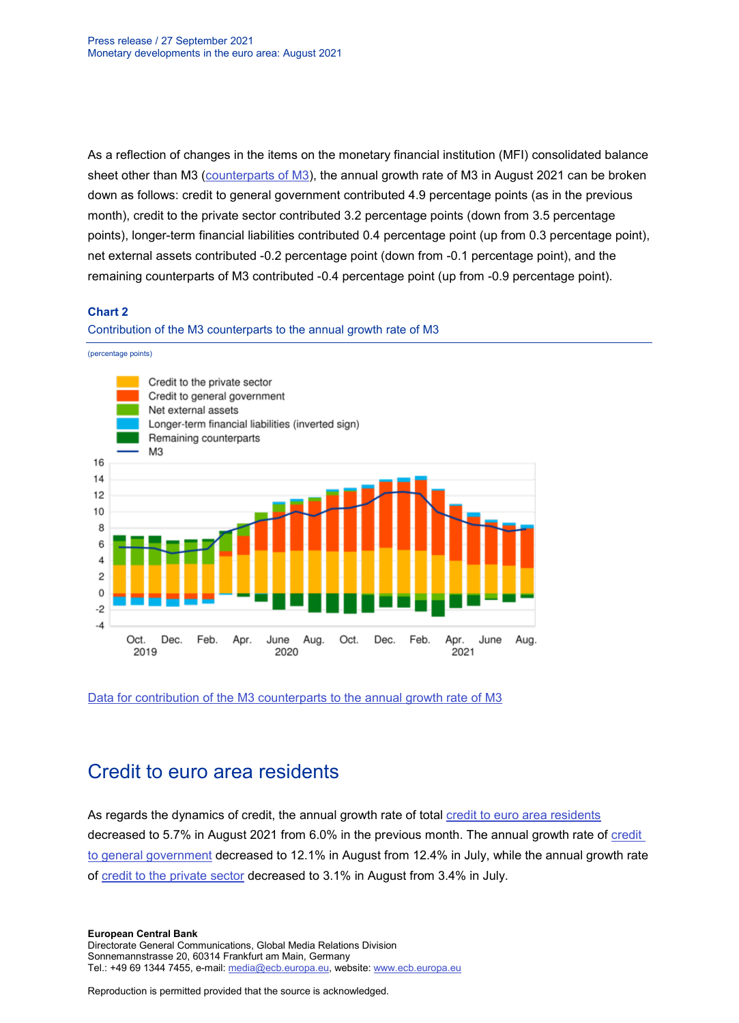As a reflection of changes in the items on the monetary financial institution (MFI) consolidated balance sheet other than M3 [\(counterparts of M3\)](http://sdw.ecb.europa.eu/browseSelection.do?type=series&q=BSI.M.U2.Y.V.M30.X.I.U2.2300.Z01.A+BSI.M.U2.Y.U.LT2.X.Q.Z5.0000.Z01.F+BSI.M.U2.Y.U.A80.A.Q.U4.0000.Z01.F+BSI.M.U2.Y.U.AT2.A.Q.U2.2100.Z01.F+BSI.M.U2.Y.U.AT2.A.Q.U2.2200.Z01.F+BSI.M.U2.Y.U.R31A.X.Q.Z5.0000.Z01.F&node=SEARCHRESULTS), the annual growth rate of M3 in August 2021 can be broken down as follows: credit to general government contributed 4.9 percentage points (as in the previous month), credit to the private sector contributed 3.2 percentage points (down from 3.5 percentage points), longer-term financial liabilities contributed 0.4 percentage point (up from 0.3 percentage point), net external assets contributed -0.2 percentage point (down from -0.1 percentage point), and the remaining counterparts of M3 contributed -0.4 percentage point (up from -0.9 percentage point).

## **Chart 2**

#### Contribution of the M3 counterparts to the annual growth rate of M3



[Data for contribution of the M3 counterparts to the annual growth rate of M3](http://sdw.ecb.europa.eu/browseSelection.do?type=series&q=BSI.M.U2.Y.V.M30.X.I.U2.2300.Z01.A+BSI.M.U2.Y.U.LT2.X.Q.Z5.0000.Z01.F+BSI.M.U2.Y.U.A80.A.Q.U4.0000.Z01.F+BSI.M.U2.Y.U.AT2.A.Q.U2.2100.Z01.F+BSI.M.U2.Y.U.AT2.A.Q.U2.2200.Z01.F+BSI.M.U2.Y.U.R31A.X.Q.Z5.0000.Z01.F&node=SEARCHRESULTS)

## Credit to euro area residents

As regards the dynamics of credit, the annual growth rate of total [credit to euro area residents](http://sdw.ecb.europa.eu/browseSelection.do?type=series&q=BSI.M.U2.Y.U.AT2.A.I.U2.2000.Z01.A&node=SEARCHRESULTS) decreased to 5.7% in August 2021 from 6.0% in the previous month. The annual growth rate of [credit](http://sdw.ecb.europa.eu/browseSelection.do?type=series&q=BSI.M.U2.Y.U.AT2.A.I.U2.2100.Z01.A&node=SEARCHRESULTS)  [to general government](http://sdw.ecb.europa.eu/browseSelection.do?type=series&q=BSI.M.U2.Y.U.AT2.A.I.U2.2100.Z01.A&node=SEARCHRESULTS) decreased to 12.1% in August from 12.4% in July, while the annual growth rate of [credit to the private sector](http://sdw.ecb.europa.eu/browseSelection.do?type=series&q=BSI.M.U2.Y.U.AT2.A.I.U2.2200.Z01.A&node=SEARCHRESULTS) decreased to 3.1% in August from 3.4% in July.